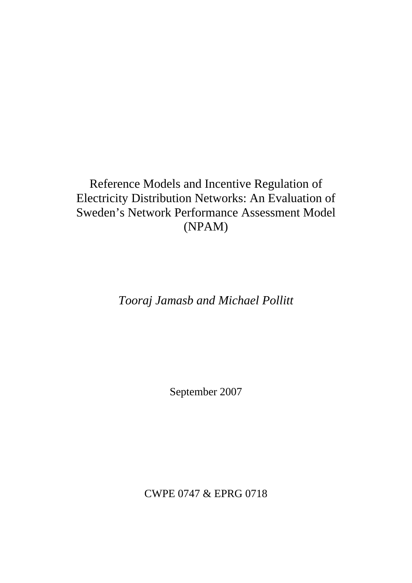# Reference Models and Incentive Regulation of Electricity Distribution Networks: An Evaluation of Sweden's Network Performance Assessment Model (NPAM)

# *Tooraj Jamasb and Michael Pollitt*

September 2007

CWPE 0747 & EPRG 0718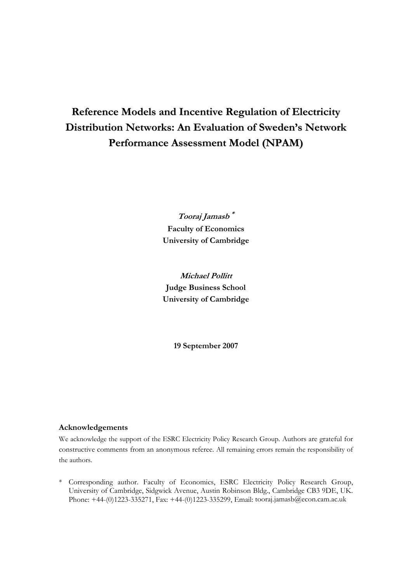# **Reference Models and Incentive Regulation of Electricity Distribution Networks: An Evaluation of Sweden's Network Performance Assessment Model (NPAM)**

**Tooraj Jamasb \* Faculty of Economics University of Cambridge** 

**Michael Pollitt Judge Business School University of Cambridge** 

**19 September 2007** 

#### **Acknowledgements**

We acknowledge the support of the ESRC Electricity Policy Research Group. Authors are grateful for constructive comments from an anonymous referee. All remaining errors remain the responsibility of the authors.

\* Corresponding author. Faculty of Economics, ESRC Electricity Policy Research Group, University of Cambridge, Sidgwick Avenue, Austin Robinson Bldg., Cambridge CB3 9DE, UK. Phone: +44-(0)1223-335271, Fax: +44-(0)1223-335299, Email: [tooraj.jamasb@econ.cam.ac.uk](mailto:tooraj.jamasb@econ.cam.ac.uk)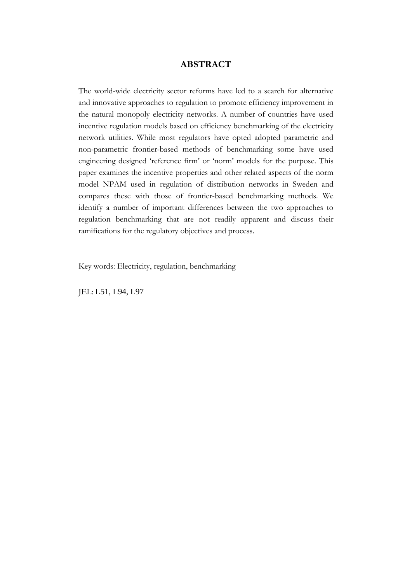# **ABSTRACT**

The world-wide electricity sector reforms have led to a search for alternative and innovative approaches to regulation to promote efficiency improvement in the natural monopoly electricity networks. A number of countries have used incentive regulation models based on efficiency benchmarking of the electricity network utilities. While most regulators have opted adopted parametric and non-parametric frontier-based methods of benchmarking some have used engineering designed 'reference firm' or 'norm' models for the purpose. This paper examines the incentive properties and other related aspects of the norm model NPAM used in regulation of distribution networks in Sweden and compares these with those of frontier-based benchmarking methods. We identify a number of important differences between the two approaches to regulation benchmarking that are not readily apparent and discuss their ramifications for the regulatory objectives and process.

Key words: Electricity, regulation, benchmarking

JEL: L51, L94, L97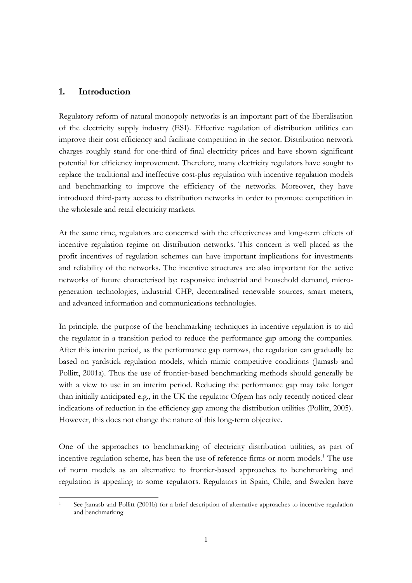# **1. Introduction**

-

Regulatory reform of natural monopoly networks is an important part of the liberalisation of the electricity supply industry (ESI). Effective regulation of distribution utilities can improve their cost efficiency and facilitate competition in the sector. Distribution network charges roughly stand for one-third of final electricity prices and have shown significant potential for efficiency improvement. Therefore, many electricity regulators have sought to replace the traditional and ineffective cost-plus regulation with incentive regulation models and benchmarking to improve the efficiency of the networks. Moreover, they have introduced third-party access to distribution networks in order to promote competition in the wholesale and retail electricity markets.

At the same time, regulators are concerned with the effectiveness and long-term effects of incentive regulation regime on distribution networks. This concern is well placed as the profit incentives of regulation schemes can have important implications for investments and reliability of the networks. The incentive structures are also important for the active networks of future characterised by: responsive industrial and household demand, microgeneration technologies, industrial CHP, decentralised renewable sources, smart meters, and advanced information and communications technologies.

In principle, the purpose of the benchmarking techniques in incentive regulation is to aid the regulator in a transition period to reduce the performance gap among the companies. After this interim period, as the performance gap narrows, the regulation can gradually be based on yardstick regulation models, which mimic competitive conditions (Jamasb and Pollitt, 2001a). Thus the use of frontier-based benchmarking methods should generally be with a view to use in an interim period. Reducing the performance gap may take longer than initially anticipated e.g., in the UK the regulator Ofgem has only recently noticed clear indications of reduction in the efficiency gap among the distribution utilities (Pollitt, 2005). However, this does not change the nature of this long-term objective.

One of the approaches to benchmarking of electricity distribution utilities, as part of incentive regulation scheme, has been the use of reference firms or norm models.<sup>[1](#page-3-0)</sup> The use of norm models as an alternative to frontier-based approaches to benchmarking and regulation is appealing to some regulators. Regulators in Spain, Chile, and Sweden have

<span id="page-3-0"></span>See Jamasb and Pollitt (2001b) for a brief description of alternative approaches to incentive regulation and benchmarking.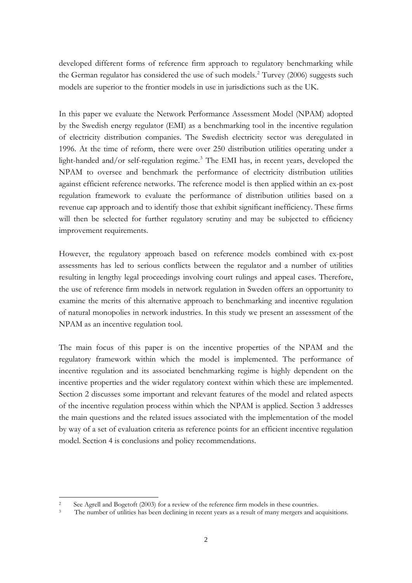developed different forms of reference firm approach to regulatory benchmarking while the German regulator has considered the use of such models.<sup>[2](#page-4-0)</sup> Turvey (2006) suggests such models are superior to the frontier models in use in jurisdictions such as the UK.

In this paper we evaluate the Network Performance Assessment Model (NPAM) adopted by the Swedish energy regulator (EMI) as a benchmarking tool in the incentive regulation of electricity distribution companies. The Swedish electricity sector was deregulated in 1996. At the time of reform, there were over 250 distribution utilities operating under a light-handed and/or self-regulation regime.<sup>[3](#page-4-1)</sup> The EMI has, in recent years, developed the NPAM to oversee and benchmark the performance of electricity distribution utilities against efficient reference networks. The reference model is then applied within an ex-post regulation framework to evaluate the performance of distribution utilities based on a revenue cap approach and to identify those that exhibit significant inefficiency. These firms will then be selected for further regulatory scrutiny and may be subjected to efficiency improvement requirements.

However, the regulatory approach based on reference models combined with ex-post assessments has led to serious conflicts between the regulator and a number of utilities resulting in lengthy legal proceedings involving court rulings and appeal cases. Therefore, the use of reference firm models in network regulation in Sweden offers an opportunity to examine the merits of this alternative approach to benchmarking and incentive regulation of natural monopolies in network industries. In this study we present an assessment of the NPAM as an incentive regulation tool.

The main focus of this paper is on the incentive properties of the NPAM and the regulatory framework within which the model is implemented. The performance of incentive regulation and its associated benchmarking regime is highly dependent on the incentive properties and the wider regulatory context within which these are implemented. Section 2 discusses some important and relevant features of the model and related aspects of the incentive regulation process within which the NPAM is applied. Section 3 addresses the main questions and the related issues associated with the implementation of the model by way of a set of evaluation criteria as reference points for an efficient incentive regulation model. Section 4 is conclusions and policy recommendations.

1

<span id="page-4-0"></span>See Agrell and Bogetoft (2003) for a review of the reference firm models in these countries.<br>The number of utilities has been declining in recent years as a result of many mergers and acquisitions.

<span id="page-4-1"></span>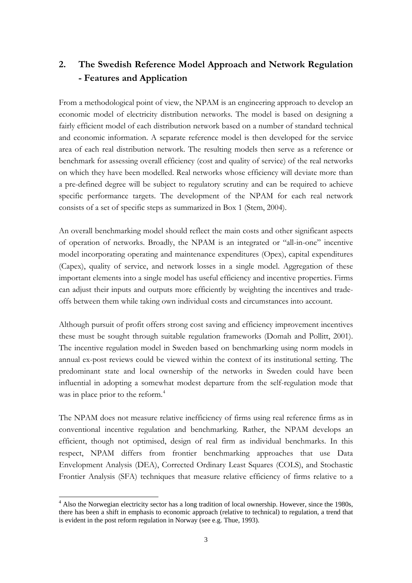# **2. The Swedish Reference Model Approach and Network Regulation - Features and Application**

From a methodological point of view, the NPAM is an engineering approach to develop an economic model of electricity distribution networks. The model is based on designing a fairly efficient model of each distribution network based on a number of standard technical and economic information. A separate reference model is then developed for the service area of each real distribution network. The resulting models then serve as a reference or benchmark for assessing overall efficiency (cost and quality of service) of the real networks on which they have been modelled. Real networks whose efficiency will deviate more than a pre-defined degree will be subject to regulatory scrutiny and can be required to achieve specific performance targets. The development of the NPAM for each real network consists of a set of specific steps as summarized in Box 1 (Stem, 2004).

An overall benchmarking model should reflect the main costs and other significant aspects of operation of networks. Broadly, the NPAM is an integrated or "all-in-one" incentive model incorporating operating and maintenance expenditures (Opex), capital expenditures (Capex), quality of service, and network losses in a single model. Aggregation of these important elements into a single model has useful efficiency and incentive properties. Firms can adjust their inputs and outputs more efficiently by weighting the incentives and tradeoffs between them while taking own individual costs and circumstances into account.

Although pursuit of profit offers strong cost saving and efficiency improvement incentives these must be sought through suitable regulation frameworks (Domah and Pollitt, 2001). The incentive regulation model in Sweden based on benchmarking using norm models in annual ex-post reviews could be viewed within the context of its institutional setting. The predominant state and local ownership of the networks in Sweden could have been influential in adopting a somewhat modest departure from the self-regulation mode that was in place prior to the reform.<sup>[4](#page-5-0)</sup>

The NPAM does not measure relative inefficiency of firms using real reference firms as in conventional incentive regulation and benchmarking. Rather, the NPAM develops an efficient, though not optimised, design of real firm as individual benchmarks. In this respect, NPAM differs from frontier benchmarking approaches that use Data Envelopment Analysis (DEA), Corrected Ordinary Least Squares (COLS), and Stochastic Frontier Analysis (SFA) techniques that measure relative efficiency of firms relative to a

1

<span id="page-5-0"></span><sup>&</sup>lt;sup>4</sup> Also the Norwegian electricity sector has a long tradition of local ownership. However, since the 1980s, there has been a shift in emphasis to economic approach (relative to technical) to regulation, a trend that is evident in the post reform regulation in Norway (see e.g. Thue, 1993).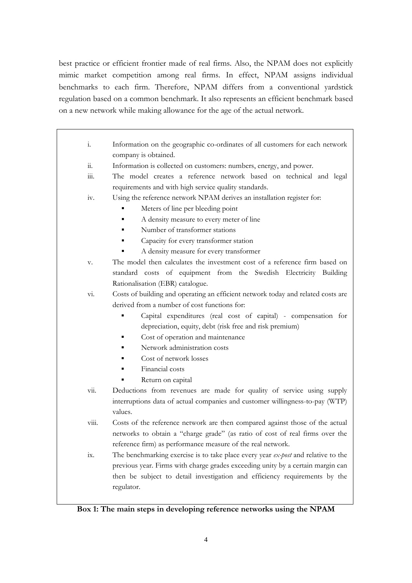best practice or efficient frontier made of real firms. Also, the NPAM does not explicitly mimic market competition among real firms. In effect, NPAM assigns individual benchmarks to each firm. Therefore, NPAM differs from a conventional yardstick regulation based on a common benchmark. It also represents an efficient benchmark based on a new network while making allowance for the age of the actual network.

i. Information on the geographic co-ordinates of all customers for each network company is obtained. ii. Information is collected on customers: numbers, energy, and power. iii. The model creates a reference network based on technical and legal requirements and with high service quality standards. iv. Using the reference network NPAM derives an installation register for: Meters of line per bleeding point A density measure to every meter of line Number of transformer stations Capacity for every transformer station A density measure for every transformer v. The model then calculates the investment cost of a reference firm based on standard costs of equipment from the Swedish Electricity Building Rationalisation (EBR) catalogue. vi. Costs of building and operating an efficient network today and related costs are derived from a number of cost functions for: Capital expenditures (real cost of capital) - compensation for depreciation, equity, debt (risk free and risk premium) Cost of operation and maintenance ■ Network administration costs Cost of network losses Financial costs Return on capital vii. Deductions from revenues are made for quality of service using supply interruptions data of actual companies and customer willingness-to-pay (WTP) values. viii. Costs of the reference network are then compared against those of the actual networks to obtain a "charge grade" (as ratio of cost of real firms over the reference firm) as performance measure of the real network. ix. The benchmarking exercise is to take place every year *ex-post* and relative to the previous year. Firms with charge grades exceeding unity by a certain margin can then be subject to detail investigation and efficiency requirements by the regulator.

**Box 1: The main steps in developing reference networks using the NPAM**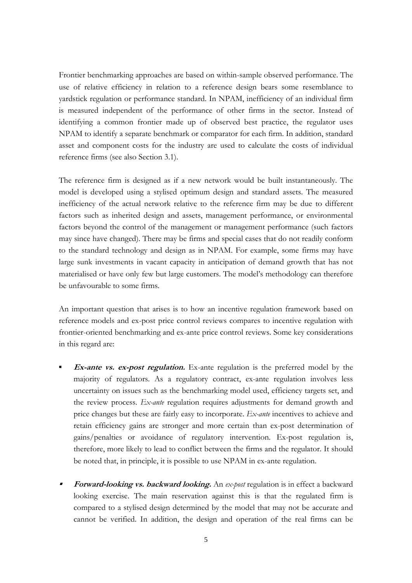Frontier benchmarking approaches are based on within-sample observed performance. The use of relative efficiency in relation to a reference design bears some resemblance to yardstick regulation or performance standard. In NPAM, inefficiency of an individual firm is measured independent of the performance of other firms in the sector. Instead of identifying a common frontier made up of observed best practice, the regulator uses NPAM to identify a separate benchmark or comparator for each firm. In addition, standard asset and component costs for the industry are used to calculate the costs of individual reference firms (see also Section 3.1).

The reference firm is designed as if a new network would be built instantaneously. The model is developed using a stylised optimum design and standard assets. The measured inefficiency of the actual network relative to the reference firm may be due to different factors such as inherited design and assets, management performance, or environmental factors beyond the control of the management or management performance (such factors may since have changed). There may be firms and special cases that do not readily conform to the standard technology and design as in NPAM. For example, some firms may have large sunk investments in vacant capacity in anticipation of demand growth that has not materialised or have only few but large customers. The model's methodology can therefore be unfavourable to some firms.

An important question that arises is to how an incentive regulation framework based on reference models and ex-post price control reviews compares to incentive regulation with frontier-oriented benchmarking and ex-ante price control reviews. Some key considerations in this regard are:

- **Ex-ante vs. ex-post regulation.** Ex-ante regulation is the preferred model by the majority of regulators. As a regulatory contract, ex-ante regulation involves less uncertainty on issues such as the benchmarking model used, efficiency targets set, and the review process. *Ex-ante* regulation requires adjustments for demand growth and price changes but these are fairly easy to incorporate. *Ex-ante* incentives to achieve and retain efficiency gains are stronger and more certain than ex-post determination of gains/penalties or avoidance of regulatory intervention. Ex-post regulation is, therefore, more likely to lead to conflict between the firms and the regulator. It should be noted that, in principle, it is possible to use NPAM in ex-ante regulation.
- **Forward-looking vs. backward looking.** An *ex-post* regulation is in effect a backward looking exercise. The main reservation against this is that the regulated firm is compared to a stylised design determined by the model that may not be accurate and cannot be verified. In addition, the design and operation of the real firms can be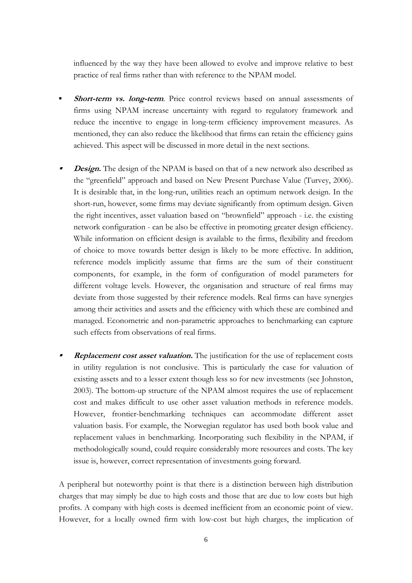influenced by the way they have been allowed to evolve and improve relative to best practice of real firms rather than with reference to the NPAM model.

- **Short-term vs. long-term**. Price control reviews based on annual assessments of firms using NPAM increase uncertainty with regard to regulatory framework and reduce the incentive to engage in long-term efficiency improvement measures. As mentioned, they can also reduce the likelihood that firms can retain the efficiency gains achieved. This aspect will be discussed in more detail in the next sections.
- **▪***Design*. The design of the NPAM is based on that of a new network also described as the "greenfield" approach and based on New Present Purchase Value (Turvey, 2006). It is desirable that, in the long-run, utilities reach an optimum network design. In the short-run, however, some firms may deviate significantly from optimum design. Given the right incentives, asset valuation based on "brownfield" approach - i.e. the existing network configuration - can be also be effective in promoting greater design efficiency. While information on efficient design is available to the firms, flexibility and freedom of choice to move towards better design is likely to be more effective. In addition, reference models implicitly assume that firms are the sum of their constituent components, for example, in the form of configuration of model parameters for different voltage levels. However, the organisation and structure of real firms may deviate from those suggested by their reference models. Real firms can have synergies among their activities and assets and the efficiency with which these are combined and managed. Econometric and non-parametric approaches to benchmarking can capture such effects from observations of real firms.
- **▪Replacement cost asset valuation.** The justification for the use of replacement costs in utility regulation is not conclusive. This is particularly the case for valuation of existing assets and to a lesser extent though less so for new investments (see Johnston, 2003). The bottom-up structure of the NPAM almost requires the use of replacement cost and makes difficult to use other asset valuation methods in reference models. However, frontier-benchmarking techniques can accommodate different asset valuation basis. For example, the Norwegian regulator has used both book value and replacement values in benchmarking. Incorporating such flexibility in the NPAM, if methodologically sound, could require considerably more resources and costs. The key issue is, however, correct representation of investments going forward.

A peripheral but noteworthy point is that there is a distinction between high distribution charges that may simply be due to high costs and those that are due to low costs but high profits. A company with high costs is deemed inefficient from an economic point of view. However, for a locally owned firm with low-cost but high charges, the implication of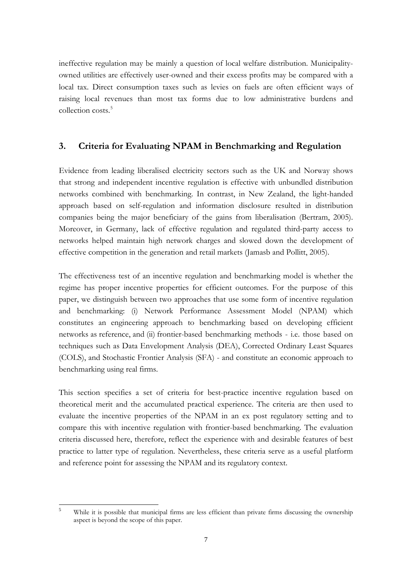ineffective regulation may be mainly a question of local welfare distribution. Municipalityowned utilities are effectively user-owned and their excess profits may be compared with a local tax. Direct consumption taxes such as levies on fuels are often efficient ways of raising local revenues than most tax forms due to low administrative burdens and collection costs.<sup>[5](#page-9-0)</sup>

# **3. Criteria for Evaluating NPAM in Benchmarking and Regulation**

Evidence from leading liberalised electricity sectors such as the UK and Norway shows that strong and independent incentive regulation is effective with unbundled distribution networks combined with benchmarking. In contrast, in New Zealand, the light-handed approach based on self-regulation and information disclosure resulted in distribution companies being the major beneficiary of the gains from liberalisation (Bertram, 2005). Moreover, in Germany, lack of effective regulation and regulated third-party access to networks helped maintain high network charges and slowed down the development of effective competition in the generation and retail markets (Jamasb and Pollitt, 2005).

The effectiveness test of an incentive regulation and benchmarking model is whether the regime has proper incentive properties for efficient outcomes. For the purpose of this paper, we distinguish between two approaches that use some form of incentive regulation and benchmarking: (i) Network Performance Assessment Model (NPAM) which constitutes an engineering approach to benchmarking based on developing efficient networks as reference, and (ii) frontier-based benchmarking methods - i.e. those based on techniques such as Data Envelopment Analysis (DEA), Corrected Ordinary Least Squares (COLS), and Stochastic Frontier Analysis (SFA) - and constitute an economic approach to benchmarking using real firms.

This section specifies a set of criteria for best-practice incentive regulation based on theoretical merit and the accumulated practical experience. The criteria are then used to evaluate the incentive properties of the NPAM in an ex post regulatory setting and to compare this with incentive regulation with frontier-based benchmarking. The evaluation criteria discussed here, therefore, reflect the experience with and desirable features of best practice to latter type of regulation. Nevertheless, these criteria serve as a useful platform and reference point for assessing the NPAM and its regulatory context.

<span id="page-9-0"></span> $\frac{1}{5}$  While it is possible that municipal firms are less efficient than private firms discussing the ownership aspect is beyond the scope of this paper.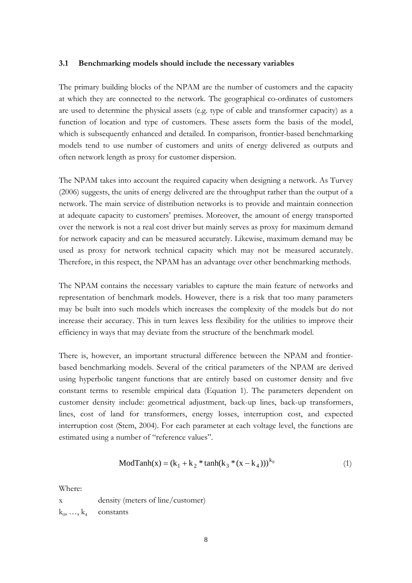#### **3.1 Benchmarking models should include the necessary variables**

The primary building blocks of the NPAM are the number of customers and the capacity at which they are connected to the network. The geographical co-ordinates of customers are used to determine the physical assets (e.g. type of cable and transformer capacity) as a function of location and type of customers. These assets form the basis of the model, which is subsequently enhanced and detailed. In comparison, frontier-based benchmarking models tend to use number of customers and units of energy delivered as outputs and often network length as proxy for customer dispersion.

The NPAM takes into account the required capacity when designing a network. As Turvey (2006) suggests, the units of energy delivered are the throughput rather than the output of a network. The main service of distribution networks is to provide and maintain connection at adequate capacity to customers' premises. Moreover, the amount of energy transported over the network is not a real cost driver but mainly serves as proxy for maximum demand for network capacity and can be measured accurately. Likewise, maximum demand may be used as proxy for network technical capacity which may not be measured accurately. Therefore, in this respect, the NPAM has an advantage over other benchmarking methods.

The NPAM contains the necessary variables to capture the main feature of networks and representation of benchmark models. However, there is a risk that too many parameters may be built into such models which increases the complexity of the models but do not increase their accuracy. This in turn leaves less flexibility for the utilities to improve their efficiency in ways that may deviate from the structure of the benchmark model.

There is, however, an important structural difference between the NPAM and frontierbased benchmarking models. Several of the critical parameters of the NPAM are derived using hyperbolic tangent functions that are entirely based on customer density and five constant terms to resemble empirical data (Equation 1). The parameters dependent on customer density include: geometrical adjustment, back-up lines, back-up transformers, lines, cost of land for transformers, energy losses, interruption cost, and expected interruption cost (Stem, 2004). For each parameter at each voltage level, the functions are estimated using a number of "reference values".

$$
ModTanh(x) = (k_1 + k_2 * tanh(k_3 * (x - k_4)))^{k_0}
$$
\n(1)

Where:

x density (meters of line/customer)  $k_0, ..., k_4$  constants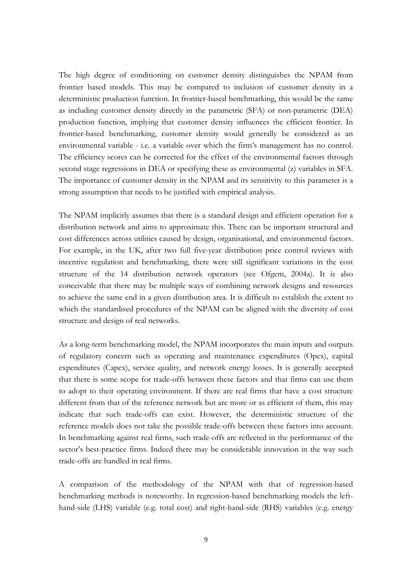The high degree of conditioning on customer density distinguishes the NPAM from frontier based models. This may be compared to inclusion of customer density in a deterministic production function. In frontier-based benchmarking, this would be the same as including customer density directly in the parametric (SFA) or non-parametric (DEA) production function, implying that customer density influences the efficient frontier. In frontier-based benchmarking, customer density would generally be considered as an environmental variable - i.e. a variable over which the firm's management has no control. The efficiency scores can be corrected for the effect of the environmental factors through second stage regressions in DEA or specifying these as environmental (z) variables in SFA. The importance of customer density in the NPAM and its sensitivity to this parameter is a strong assumption that needs to be justified with empirical analysis.

The NPAM implicitly assumes that there is a standard design and efficient operation for a distribution network and aims to approximate this. There can be important structural and cost differences across utilities caused by design, organisational, and environmental factors. For example, in the UK, after two full five-year distribution price control reviews with incentive regulation and benchmarking, there were still significant variations in the cost structure of the 14 distribution network operators (see Ofgem, 2004a). It is also conceivable that there may be multiple ways of combining network designs and resources to achieve the same end in a given distribution area. It is difficult to establish the extent to which the standardised procedures of the NPAM can be aligned with the diversity of cost structure and design of real networks.

As a long-term benchmarking model, the NPAM incorporates the main inputs and outputs of regulatory concern such as operating and maintenance expenditures (Opex), capital expenditures (Capex), service quality, and network energy losses. It is generally accepted that there is some scope for trade-offs between these factors and that firms can use them to adopt to their operating environment. If there are real firms that have a cost structure different from that of the reference network but are more or as efficient of them, this may indicate that such trade-offs can exist. However, the deterministic structure of the reference models does not take the possible trade-offs between these factors into account. In benchmarking against real firms, such trade-offs are reflected in the performance of the sector's best-practice firms. Indeed there may be considerable innovation in the way such trade-offs are handled in real firms.

A comparison of the methodology of the NPAM with that of regression-based benchmarking methods is noteworthy. In regression-based benchmarking models the lefthand-side (LHS) variable (e.g. total cost) and right-hand-side (RHS) variables (e.g. energy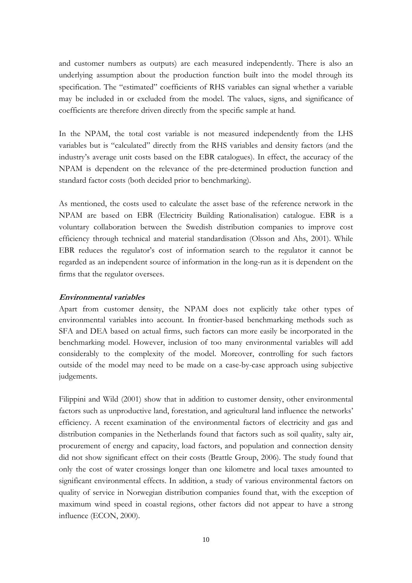and customer numbers as outputs) are each measured independently. There is also an underlying assumption about the production function built into the model through its specification. The "estimated" coefficients of RHS variables can signal whether a variable may be included in or excluded from the model. The values, signs, and significance of coefficients are therefore driven directly from the specific sample at hand.

In the NPAM, the total cost variable is not measured independently from the LHS variables but is "calculated" directly from the RHS variables and density factors (and the industry's average unit costs based on the EBR catalogues). In effect, the accuracy of the NPAM is dependent on the relevance of the pre-determined production function and standard factor costs (both decided prior to benchmarking).

As mentioned, the costs used to calculate the asset base of the reference network in the NPAM are based on EBR (Electricity Building Rationalisation) catalogue. EBR is a voluntary collaboration between the Swedish distribution companies to improve cost efficiency through technical and material standardisation (Olsson and Ahs, 2001). While EBR reduces the regulator's cost of information search to the regulator it cannot be regarded as an independent source of information in the long-run as it is dependent on the firms that the regulator oversees.

#### **Environmental variables**

Apart from customer density, the NPAM does not explicitly take other types of environmental variables into account. In frontier-based benchmarking methods such as SFA and DEA based on actual firms, such factors can more easily be incorporated in the benchmarking model. However, inclusion of too many environmental variables will add considerably to the complexity of the model. Moreover, controlling for such factors outside of the model may need to be made on a case-by-case approach using subjective judgements.

Filippini and Wild (2001) show that in addition to customer density, other environmental factors such as unproductive land, forestation, and agricultural land influence the networks' efficiency. A recent examination of the environmental factors of electricity and gas and distribution companies in the Netherlands found that factors such as soil quality, salty air, procurement of energy and capacity, load factors, and population and connection density did not show significant effect on their costs (Brattle Group, 2006). The study found that only the cost of water crossings longer than one kilometre and local taxes amounted to significant environmental effects. In addition, a study of various environmental factors on quality of service in Norwegian distribution companies found that, with the exception of maximum wind speed in coastal regions, other factors did not appear to have a strong influence (ECON, 2000).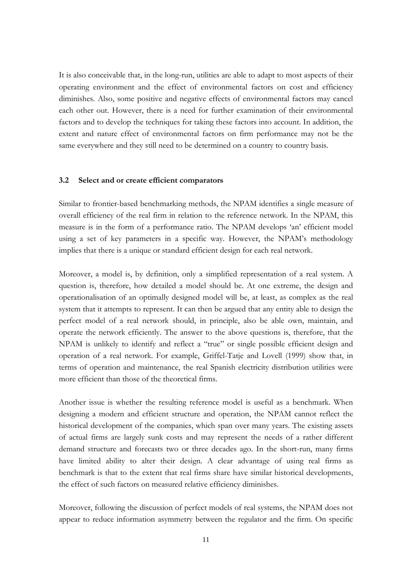It is also conceivable that, in the long-run, utilities are able to adapt to most aspects of their operating environment and the effect of environmental factors on cost and efficiency diminishes. Also, some positive and negative effects of environmental factors may cancel each other out. However, there is a need for further examination of their environmental factors and to develop the techniques for taking these factors into account. In addition, the extent and nature effect of environmental factors on firm performance may not be the same everywhere and they still need to be determined on a country to country basis.

#### **3.2 Select and or create efficient comparators**

Similar to frontier-based benchmarking methods, the NPAM identifies a single measure of overall efficiency of the real firm in relation to the reference network. In the NPAM, this measure is in the form of a performance ratio. The NPAM develops 'an' efficient model using a set of key parameters in a specific way. However, the NPAM's methodology implies that there is a unique or standard efficient design for each real network.

Moreover, a model is, by definition, only a simplified representation of a real system. A question is, therefore, how detailed a model should be. At one extreme, the design and operationalisation of an optimally designed model will be, at least, as complex as the real system that it attempts to represent. It can then be argued that any entity able to design the perfect model of a real network should, in principle, also be able own, maintain, and operate the network efficiently. The answer to the above questions is, therefore, that the NPAM is unlikely to identify and reflect a "true" or single possible efficient design and operation of a real network. For example, Griffel-Tatje and Lovell (1999) show that, in terms of operation and maintenance, the real Spanish electricity distribution utilities were more efficient than those of the theoretical firms.

Another issue is whether the resulting reference model is useful as a benchmark. When designing a modern and efficient structure and operation, the NPAM cannot reflect the historical development of the companies, which span over many years. The existing assets of actual firms are largely sunk costs and may represent the needs of a rather different demand structure and forecasts two or three decades ago. In the short-run, many firms have limited ability to alter their design. A clear advantage of using real firms as benchmark is that to the extent that real firms share have similar historical developments, the effect of such factors on measured relative efficiency diminishes.

Moreover, following the discussion of perfect models of real systems, the NPAM does not appear to reduce information asymmetry between the regulator and the firm. On specific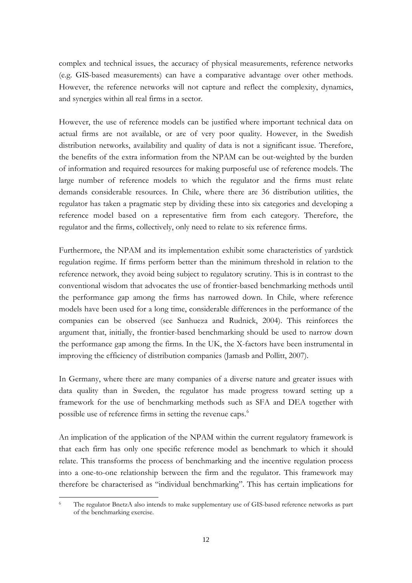complex and technical issues, the accuracy of physical measurements, reference networks (e.g. GIS-based measurements) can have a comparative advantage over other methods. However, the reference networks will not capture and reflect the complexity, dynamics, and synergies within all real firms in a sector.

However, the use of reference models can be justified where important technical data on actual firms are not available, or are of very poor quality. However, in the Swedish distribution networks, availability and quality of data is not a significant issue. Therefore, the benefits of the extra information from the NPAM can be out-weighted by the burden of information and required resources for making purposeful use of reference models. The large number of reference models to which the regulator and the firms must relate demands considerable resources. In Chile, where there are 36 distribution utilities, the regulator has taken a pragmatic step by dividing these into six categories and developing a reference model based on a representative firm from each category. Therefore, the regulator and the firms, collectively, only need to relate to six reference firms.

Furthermore, the NPAM and its implementation exhibit some characteristics of yardstick regulation regime. If firms perform better than the minimum threshold in relation to the reference network, they avoid being subject to regulatory scrutiny. This is in contrast to the conventional wisdom that advocates the use of frontier-based benchmarking methods until the performance gap among the firms has narrowed down. In Chile, where reference models have been used for a long time, considerable differences in the performance of the companies can be observed (see Sanhueza and Rudnick, 2004). This reinforces the argument that, initially, the frontier-based benchmarking should be used to narrow down the performance gap among the firms. In the UK, the X-factors have been instrumental in improving the efficiency of distribution companies (Jamasb and Pollitt, 2007).

In Germany, where there are many companies of a diverse nature and greater issues with data quality than in Sweden, the regulator has made progress toward setting up a framework for the use of benchmarking methods such as SFA and DEA together with possible use of reference firms in setting the revenue caps.[6](#page-14-0)

An implication of the application of the NPAM within the current regulatory framework is that each firm has only one specific reference model as benchmark to which it should relate. This transforms the process of benchmarking and the incentive regulation process into a one-to-one relationship between the firm and the regulator. This framework may therefore be characterised as "individual benchmarking". This has certain implications for

-

<span id="page-14-0"></span>The regulator BnetzA also intends to make supplementary use of GIS-based reference networks as part of the benchmarking exercise.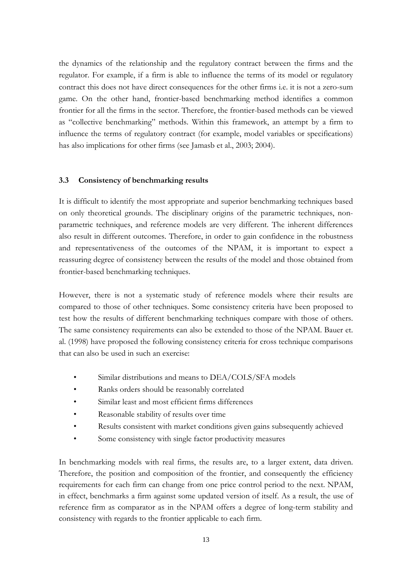the dynamics of the relationship and the regulatory contract between the firms and the regulator. For example, if a firm is able to influence the terms of its model or regulatory contract this does not have direct consequences for the other firms i.e. it is not a zero-sum game. On the other hand, frontier-based benchmarking method identifies a common frontier for all the firms in the sector. Therefore, the frontier-based methods can be viewed as "collective benchmarking" methods. Within this framework, an attempt by a firm to influence the terms of regulatory contract (for example, model variables or specifications) has also implications for other firms (see Jamasb et al., 2003; 2004).

#### **3.3 Consistency of benchmarking results**

It is difficult to identify the most appropriate and superior benchmarking techniques based on only theoretical grounds. The disciplinary origins of the parametric techniques, nonparametric techniques, and reference models are very different. The inherent differences also result in different outcomes. Therefore, in order to gain confidence in the robustness and representativeness of the outcomes of the NPAM, it is important to expect a reassuring degree of consistency between the results of the model and those obtained from frontier-based benchmarking techniques.

However, there is not a systematic study of reference models where their results are compared to those of other techniques. Some consistency criteria have been proposed to test how the results of different benchmarking techniques compare with those of others. The same consistency requirements can also be extended to those of the NPAM. Bauer et. al. (1998) have proposed the following consistency criteria for cross technique comparisons that can also be used in such an exercise:

- Similar distributions and means to DEA/COLS/SFA models
- Ranks orders should be reasonably correlated
- Similar least and most efficient firms differences
- Reasonable stability of results over time
- Results consistent with market conditions given gains subsequently achieved
- Some consistency with single factor productivity measures

In benchmarking models with real firms, the results are, to a larger extent, data driven. Therefore, the position and composition of the frontier, and consequently the efficiency requirements for each firm can change from one price control period to the next. NPAM, in effect, benchmarks a firm against some updated version of itself. As a result, the use of reference firm as comparator as in the NPAM offers a degree of long-term stability and consistency with regards to the frontier applicable to each firm.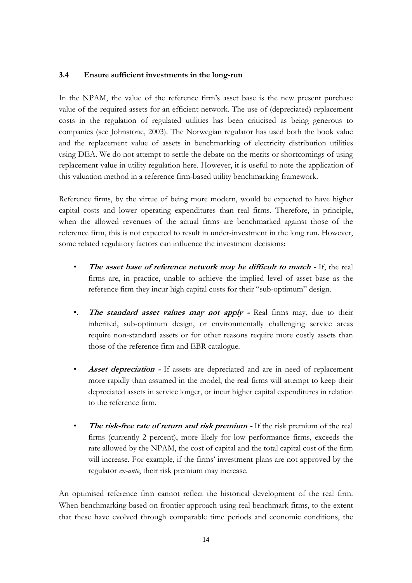## **3.4 Ensure sufficient investments in the long-run**

In the NPAM, the value of the reference firm's asset base is the new present purchase value of the required assets for an efficient network. The use of (depreciated) replacement costs in the regulation of regulated utilities has been criticised as being generous to companies (see Johnstone, 2003). The Norwegian regulator has used both the book value and the replacement value of assets in benchmarking of electricity distribution utilities using DEA. We do not attempt to settle the debate on the merits or shortcomings of using replacement value in utility regulation here. However, it is useful to note the application of this valuation method in a reference firm-based utility benchmarking framework.

Reference firms, by the virtue of being more modern, would be expected to have higher capital costs and lower operating expenditures than real firms. Therefore, in principle, when the allowed revenues of the actual firms are benchmarked against those of the reference firm, this is not expected to result in under-investment in the long run. However, some related regulatory factors can influence the investment decisions:

- **The asset base of reference network may be difficult to match -** If, the real firms are, in practice, unable to achieve the implied level of asset base as the reference firm they incur high capital costs for their "sub-optimum" design.
- •. The standard asset values may not apply Real firms may, due to their inherited, sub-optimum design, or environmentally challenging service areas require non-standard assets or for other reasons require more costly assets than those of the reference firm and EBR catalogue.
- **Asset depreciation** If assets are depreciated and are in need of replacement more rapidly than assumed in the model, the real firms will attempt to keep their depreciated assets in service longer, or incur higher capital expenditures in relation to the reference firm.
- **The risk-free rate of return and risk premium -** If the risk premium of the real firms (currently 2 percent), more likely for low performance firms, exceeds the rate allowed by the NPAM, the cost of capital and the total capital cost of the firm will increase. For example, if the firms' investment plans are not approved by the regulator *ex-ante*, their risk premium may increase.

An optimised reference firm cannot reflect the historical development of the real firm. When benchmarking based on frontier approach using real benchmark firms, to the extent that these have evolved through comparable time periods and economic conditions, the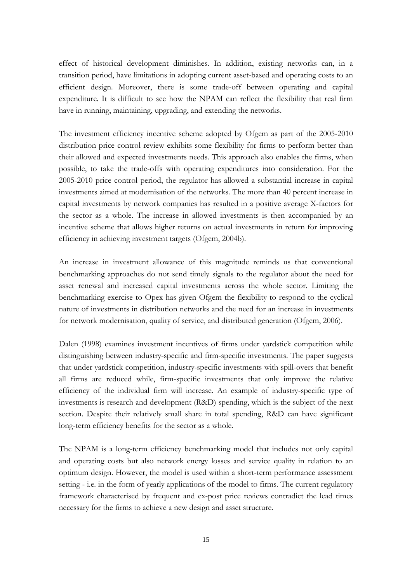effect of historical development diminishes. In addition, existing networks can, in a transition period, have limitations in adopting current asset-based and operating costs to an efficient design. Moreover, there is some trade-off between operating and capital expenditure. It is difficult to see how the NPAM can reflect the flexibility that real firm have in running, maintaining, upgrading, and extending the networks.

The investment efficiency incentive scheme adopted by Ofgem as part of the 2005-2010 distribution price control review exhibits some flexibility for firms to perform better than their allowed and expected investments needs. This approach also enables the firms, when possible, to take the trade-offs with operating expenditures into consideration. For the 2005-2010 price control period, the regulator has allowed a substantial increase in capital investments aimed at modernisation of the networks. The more than 40 percent increase in capital investments by network companies has resulted in a positive average X-factors for the sector as a whole. The increase in allowed investments is then accompanied by an incentive scheme that allows higher returns on actual investments in return for improving efficiency in achieving investment targets (Ofgem, 2004b).

An increase in investment allowance of this magnitude reminds us that conventional benchmarking approaches do not send timely signals to the regulator about the need for asset renewal and increased capital investments across the whole sector. Limiting the benchmarking exercise to Opex has given Ofgem the flexibility to respond to the cyclical nature of investments in distribution networks and the need for an increase in investments for network modernisation, quality of service, and distributed generation (Ofgem, 2006).

Dalen (1998) examines investment incentives of firms under yardstick competition while distinguishing between industry-specific and firm-specific investments. The paper suggests that under yardstick competition, industry-specific investments with spill-overs that benefit all firms are reduced while, firm-specific investments that only improve the relative efficiency of the individual firm will increase. An example of industry-specific type of investments is research and development (R&D) spending, which is the subject of the next section. Despite their relatively small share in total spending, R&D can have significant long-term efficiency benefits for the sector as a whole.

The NPAM is a long-term efficiency benchmarking model that includes not only capital and operating costs but also network energy losses and service quality in relation to an optimum design. However, the model is used within a short-term performance assessment setting - i.e. in the form of yearly applications of the model to firms. The current regulatory framework characterised by frequent and ex-post price reviews contradict the lead times necessary for the firms to achieve a new design and asset structure.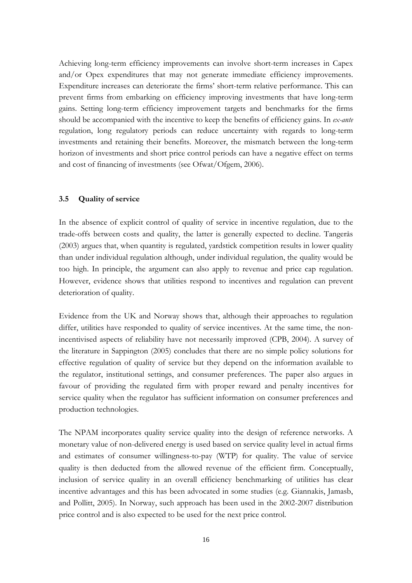Achieving long-term efficiency improvements can involve short-term increases in Capex and/or Opex expenditures that may not generate immediate efficiency improvements. Expenditure increases can deteriorate the firms' short-term relative performance. This can prevent firms from embarking on efficiency improving investments that have long-term gains. Setting long-term efficiency improvement targets and benchmarks for the firms should be accompanied with the incentive to keep the benefits of efficiency gains. In *ex-ante* regulation, long regulatory periods can reduce uncertainty with regards to long-term investments and retaining their benefits. Moreover, the mismatch between the long-term horizon of investments and short price control periods can have a negative effect on terms and cost of financing of investments (see Ofwat/Ofgem, 2006).

#### **3.5 Quality of service**

In the absence of explicit control of quality of service in incentive regulation, due to the trade-offs between costs and quality, the latter is generally expected to decline. Tangerås (2003) argues that, when quantity is regulated, yardstick competition results in lower quality than under individual regulation although, under individual regulation, the quality would be too high. In principle, the argument can also apply to revenue and price cap regulation. However, evidence shows that utilities respond to incentives and regulation can prevent deterioration of quality.

Evidence from the UK and Norway shows that, although their approaches to regulation differ, utilities have responded to quality of service incentives. At the same time, the nonincentivised aspects of reliability have not necessarily improved (CPB, 2004). A survey of the literature in Sappington (2005) concludes that there are no simple policy solutions for effective regulation of quality of service but they depend on the information available to the regulator, institutional settings, and consumer preferences. The paper also argues in favour of providing the regulated firm with proper reward and penalty incentives for service quality when the regulator has sufficient information on consumer preferences and production technologies.

The NPAM incorporates quality service quality into the design of reference networks. A monetary value of non-delivered energy is used based on service quality level in actual firms and estimates of consumer willingness-to-pay (WTP) for quality. The value of service quality is then deducted from the allowed revenue of the efficient firm. Conceptually, inclusion of service quality in an overall efficiency benchmarking of utilities has clear incentive advantages and this has been advocated in some studies (e.g. Giannakis, Jamasb, and Pollitt, 2005). In Norway, such approach has been used in the 2002-2007 distribution price control and is also expected to be used for the next price control.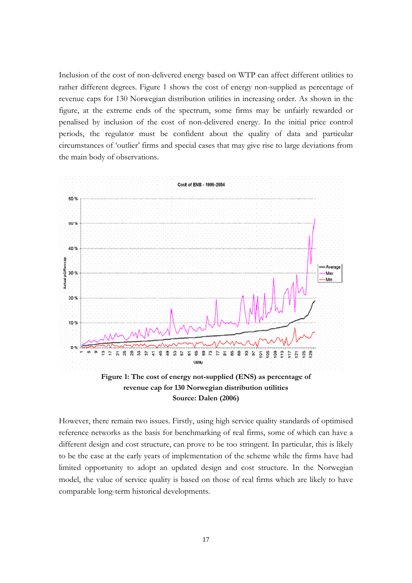Inclusion of the cost of non-delivered energy based on WTP can affect different utilities to rather different degrees. Figure 1 shows the cost of energy non-supplied as percentage of revenue caps for 130 Norwegian distribution utilities in increasing order. As shown in the figure, at the extreme ends of the spectrum, some firms may be unfairly rewarded or penalised by inclusion of the cost of non-delivered energy. In the initial price control periods, the regulator must be confident about the quality of data and particular circumstances of 'outlier' firms and special cases that may give rise to large deviations from the main body of observations.



**revenue cap for 130 Norwegian distribution utilities Source: Dalen (2006)** 

However, there remain two issues. Firstly, using high service quality standards of optimised reference networks as the basis for benchmarking of real firms, some of which can have a different design and cost structure, can prove to be too stringent. In particular, this is likely to be the case at the early years of implementation of the scheme while the firms have had limited opportunity to adopt an updated design and cost structure. In the Norwegian model, the value of service quality is based on those of real firms which are likely to have comparable long-term historical developments.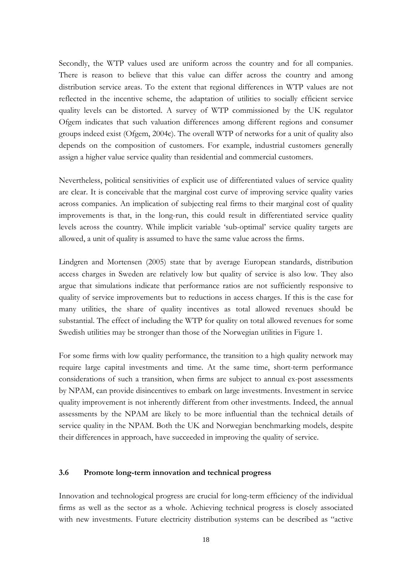Secondly, the WTP values used are uniform across the country and for all companies. There is reason to believe that this value can differ across the country and among distribution service areas. To the extent that regional differences in WTP values are not reflected in the incentive scheme, the adaptation of utilities to socially efficient service quality levels can be distorted. A survey of WTP commissioned by the UK regulator Ofgem indicates that such valuation differences among different regions and consumer groups indeed exist (Ofgem, 2004c). The overall WTP of networks for a unit of quality also depends on the composition of customers. For example, industrial customers generally assign a higher value service quality than residential and commercial customers.

Nevertheless, political sensitivities of explicit use of differentiated values of service quality are clear. It is conceivable that the marginal cost curve of improving service quality varies across companies. An implication of subjecting real firms to their marginal cost of quality improvements is that, in the long-run, this could result in differentiated service quality levels across the country. While implicit variable 'sub-optimal' service quality targets are allowed, a unit of quality is assumed to have the same value across the firms.

Lindgren and Mortensen (2005) state that by average European standards, distribution access charges in Sweden are relatively low but quality of service is also low. They also argue that simulations indicate that performance ratios are not sufficiently responsive to quality of service improvements but to reductions in access charges. If this is the case for many utilities, the share of quality incentives as total allowed revenues should be substantial. The effect of including the WTP for quality on total allowed revenues for some Swedish utilities may be stronger than those of the Norwegian utilities in Figure 1.

For some firms with low quality performance, the transition to a high quality network may require large capital investments and time. At the same time, short-term performance considerations of such a transition, when firms are subject to annual ex-post assessments by NPAM, can provide disincentives to embark on large investments. Investment in service quality improvement is not inherently different from other investments. Indeed, the annual assessments by the NPAM are likely to be more influential than the technical details of service quality in the NPAM. Both the UK and Norwegian benchmarking models, despite their differences in approach, have succeeded in improving the quality of service.

#### **3.6 Promote long-term innovation and technical progress**

Innovation and technological progress are crucial for long-term efficiency of the individual firms as well as the sector as a whole. Achieving technical progress is closely associated with new investments. Future electricity distribution systems can be described as "active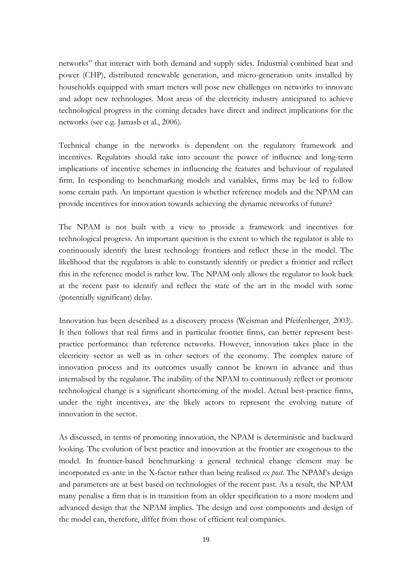networks" that interact with both demand and supply sides. Industrial combined heat and power (CHP), distributed renewable generation, and micro-generation units installed by households equipped with smart meters will pose new challenges on networks to innovate and adopt new technologies. Most areas of the electricity industry anticipated to achieve technological progress in the coming decades have direct and indirect implications for the networks (see e.g. Jamasb et al., 2006).

Technical change in the networks is dependent on the regulatory framework and incentives. Regulators should take into account the power of influence and long-term implications of incentive schemes in influencing the features and behaviour of regulated firm. In responding to benchmarking models and variables, firms may be led to follow some certain path. An important question is whether reference models and the NPAM can provide incentives for innovation towards achieving the dynamic networks of future?

The NPAM is not built with a view to provide a framework and incentives for technological progress. An important question is the extent to which the regulator is able to continuously identify the latest technology frontiers and reflect these in the model. The likelihood that the regulators is able to constantly identify or predict a frontier and reflect this in the reference model is rather low. The NPAM only allows the regulator to look back at the recent past to identify and reflect the state of the art in the model with some (potentially significant) delay.

Innovation has been described as a discovery process (Weisman and Pfeifenberger, 2003). It then follows that real firms and in particular frontier firms, can better represent bestpractice performance than reference networks. However, innovation takes place in the electricity sector as well as in other sectors of the economy. The complex nature of innovation process and its outcomes usually cannot be known in advance and thus internalised by the regulator. The inability of the NPAM to continuously reflect or promote technological change is a significant shortcoming of the model. Actual best-practice firms, under the right incentives, are the likely actors to represent the evolving nature of innovation in the sector.

As discussed, in terms of promoting innovation, the NPAM is deterministic and backward looking. The evolution of best practice and innovation at the frontier are exogenous to the model. In frontier-based benchmarking a general technical change element may be incorporated ex-ante in the X-factor rather than being realised *ex post*. The NPAM's design and parameters are at best based on technologies of the recent past. As a result, the NPAM many penalise a firm that is in transition from an older specification to a more modern and advanced design that the NPAM implies. The design and cost components and design of the model can, therefore, differ from those of efficient real companies.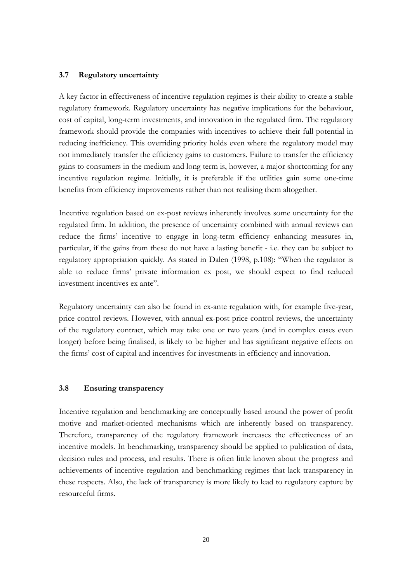### **3.7 Regulatory uncertainty**

A key factor in effectiveness of incentive regulation regimes is their ability to create a stable regulatory framework. Regulatory uncertainty has negative implications for the behaviour, cost of capital, long-term investments, and innovation in the regulated firm. The regulatory framework should provide the companies with incentives to achieve their full potential in reducing inefficiency. This overriding priority holds even where the regulatory model may not immediately transfer the efficiency gains to customers. Failure to transfer the efficiency gains to consumers in the medium and long term is, however, a major shortcoming for any incentive regulation regime. Initially, it is preferable if the utilities gain some one-time benefits from efficiency improvements rather than not realising them altogether.

Incentive regulation based on ex-post reviews inherently involves some uncertainty for the regulated firm. In addition, the presence of uncertainty combined with annual reviews can reduce the firms' incentive to engage in long-term efficiency enhancing measures in, particular, if the gains from these do not have a lasting benefit - i.e. they can be subject to regulatory appropriation quickly. As stated in Dalen (1998, p.108): "When the regulator is able to reduce firms' private information ex post, we should expect to find reduced investment incentives ex ante".

Regulatory uncertainty can also be found in ex-ante regulation with, for example five-year, price control reviews. However, with annual ex-post price control reviews, the uncertainty of the regulatory contract, which may take one or two years (and in complex cases even longer) before being finalised, is likely to be higher and has significant negative effects on the firms' cost of capital and incentives for investments in efficiency and innovation.

#### **3.8 Ensuring transparency**

Incentive regulation and benchmarking are conceptually based around the power of profit motive and market-oriented mechanisms which are inherently based on transparency. Therefore, transparency of the regulatory framework increases the effectiveness of an incentive models. In benchmarking, transparency should be applied to publication of data, decision rules and process, and results. There is often little known about the progress and achievements of incentive regulation and benchmarking regimes that lack transparency in these respects. Also, the lack of transparency is more likely to lead to regulatory capture by resourceful firms.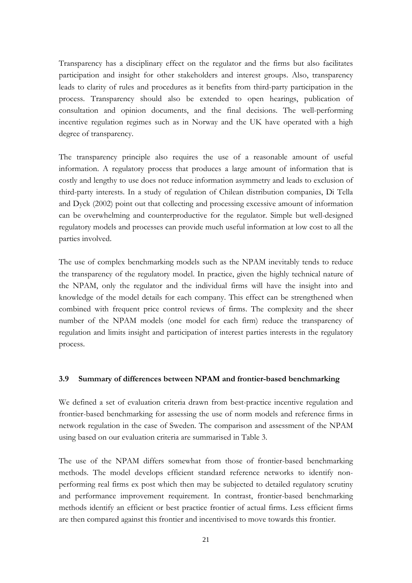Transparency has a disciplinary effect on the regulator and the firms but also facilitates participation and insight for other stakeholders and interest groups. Also, transparency leads to clarity of rules and procedures as it benefits from third-party participation in the process. Transparency should also be extended to open hearings, publication of consultation and opinion documents, and the final decisions. The well-performing incentive regulation regimes such as in Norway and the UK have operated with a high degree of transparency.

The transparency principle also requires the use of a reasonable amount of useful information. A regulatory process that produces a large amount of information that is costly and lengthy to use does not reduce information asymmetry and leads to exclusion of third-party interests. In a study of regulation of Chilean distribution companies, Di Tella and Dyck (2002) point out that collecting and processing excessive amount of information can be overwhelming and counterproductive for the regulator. Simple but well-designed regulatory models and processes can provide much useful information at low cost to all the parties involved.

The use of complex benchmarking models such as the NPAM inevitably tends to reduce the transparency of the regulatory model. In practice, given the highly technical nature of the NPAM, only the regulator and the individual firms will have the insight into and knowledge of the model details for each company. This effect can be strengthened when combined with frequent price control reviews of firms. The complexity and the sheer number of the NPAM models (one model for each firm) reduce the transparency of regulation and limits insight and participation of interest parties interests in the regulatory process.

#### **3.9 Summary of differences between NPAM and frontier-based benchmarking**

We defined a set of evaluation criteria drawn from best-practice incentive regulation and frontier-based benchmarking for assessing the use of norm models and reference firms in network regulation in the case of Sweden. The comparison and assessment of the NPAM using based on our evaluation criteria are summarised in Table 3.

The use of the NPAM differs somewhat from those of frontier-based benchmarking methods. The model develops efficient standard reference networks to identify nonperforming real firms ex post which then may be subjected to detailed regulatory scrutiny and performance improvement requirement. In contrast, frontier-based benchmarking methods identify an efficient or best practice frontier of actual firms. Less efficient firms are then compared against this frontier and incentivised to move towards this frontier.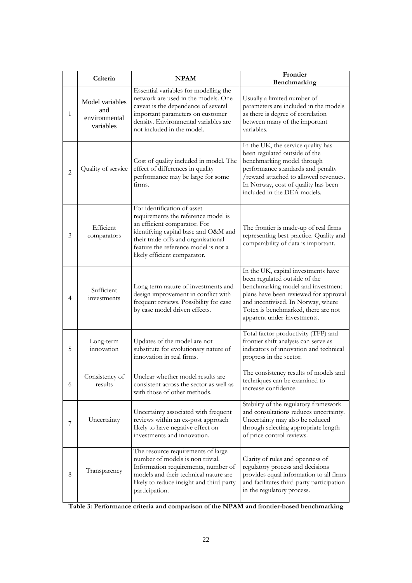|              | Criteria                                             | <b>NPAM</b>                                                                                                                                                                                                                                               | Frontier<br>Benchmarking                                                                                                                                                                                                                                       |
|--------------|------------------------------------------------------|-----------------------------------------------------------------------------------------------------------------------------------------------------------------------------------------------------------------------------------------------------------|----------------------------------------------------------------------------------------------------------------------------------------------------------------------------------------------------------------------------------------------------------------|
| 1            | Model variables<br>and<br>environmental<br>variables | Essential variables for modelling the<br>network are used in the models. One<br>caveat is the dependence of several<br>important parameters on customer<br>density. Environmental variables are<br>not included in the model.                             | Usually a limited number of<br>parameters are included in the models<br>as there is degree of correlation<br>between many of the important<br>variables.                                                                                                       |
| $\mathbf{2}$ | Quality of service                                   | Cost of quality included in model. The<br>effect of differences in quality<br>performance may be large for some<br>firms.                                                                                                                                 | In the UK, the service quality has<br>been regulated outside of the<br>benchmarking model through<br>performance standards and penalty<br>/reward attached to allowed revenues.<br>In Norway, cost of quality has been<br>included in the DEA models.          |
| 3            | Efficient<br>comparators                             | For identification of asset<br>requirements the reference model is<br>an efficient comparator. For<br>identifying capital base and O&M and<br>their trade-offs and organisational<br>feature the reference model is not a<br>likely efficient comparator. | The frontier is made-up of real firms<br>representing best practice. Quality and<br>comparability of data is important.                                                                                                                                        |
| 4            | Sufficient<br>investments                            | Long term nature of investments and<br>design improvement in conflict with<br>frequent reviews. Possibility for case<br>by case model driven effects.                                                                                                     | In the UK, capital investments have<br>been regulated outside of the<br>benchmarking model and investment<br>plans have been reviewed for approval<br>and incentivised. In Norway, where<br>Totex is benchmarked, there are not<br>apparent under-investments. |
| 5            | Long-term<br>innovation                              | Updates of the model are not<br>substitute for evolutionary nature of<br>innovation in real firms.                                                                                                                                                        | Total factor productivity (TFP) and<br>frontier shift analysis can serve as<br>indicators of innovation and technical<br>progress in the sector.                                                                                                               |
| 6            | Consistency of<br>results                            | Unclear whether model results are<br>consistent across the sector as well as<br>with those of other methods.                                                                                                                                              | The consistency results of models and<br>techniques can be examined to<br>increase confidence.                                                                                                                                                                 |
| 7            | Uncertainty                                          | Uncertainty associated with frequent<br>reviews within an ex-post approach<br>likely to have negative effect on<br>investments and innovation.                                                                                                            | Stability of the regulatory framework<br>and consultations reduces uncertainty.<br>Uncertainty may also be reduced<br>through selecting appropriate length<br>of price control reviews.                                                                        |
| 8            | Transparency                                         | The resource requirements of large<br>number of models is non trivial.<br>Information requirements, number of<br>models and their technical nature are<br>likely to reduce insight and third-party<br>participation.                                      | Clarity of rules and openness of<br>regulatory process and decisions<br>provides equal information to all firms<br>and facilitates third-party participation<br>in the regulatory process.                                                                     |

**Table 3: Performance criteria and comparison of the NPAM and frontier-based benchmarking**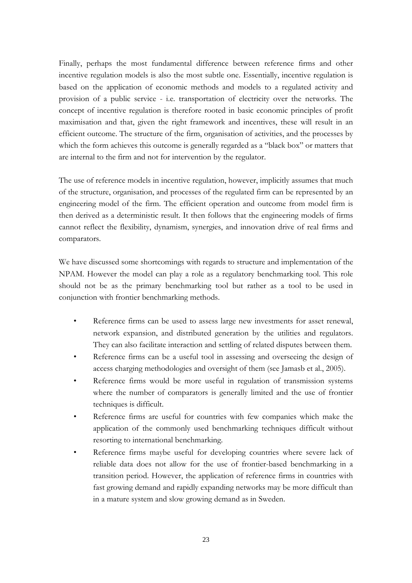Finally, perhaps the most fundamental difference between reference firms and other incentive regulation models is also the most subtle one. Essentially, incentive regulation is based on the application of economic methods and models to a regulated activity and provision of a public service - i.e. transportation of electricity over the networks. The concept of incentive regulation is therefore rooted in basic economic principles of profit maximisation and that, given the right framework and incentives, these will result in an efficient outcome. The structure of the firm, organisation of activities, and the processes by which the form achieves this outcome is generally regarded as a "black box" or matters that are internal to the firm and not for intervention by the regulator.

The use of reference models in incentive regulation, however, implicitly assumes that much of the structure, organisation, and processes of the regulated firm can be represented by an engineering model of the firm. The efficient operation and outcome from model firm is then derived as a deterministic result. It then follows that the engineering models of firms cannot reflect the flexibility, dynamism, synergies, and innovation drive of real firms and comparators.

We have discussed some shortcomings with regards to structure and implementation of the NPAM. However the model can play a role as a regulatory benchmarking tool. This role should not be as the primary benchmarking tool but rather as a tool to be used in conjunction with frontier benchmarking methods.

- Reference firms can be used to assess large new investments for asset renewal, network expansion, and distributed generation by the utilities and regulators. They can also facilitate interaction and settling of related disputes between them.
- Reference firms can be a useful tool in assessing and overseeing the design of access charging methodologies and oversight of them (see Jamasb et al., 2005).
- Reference firms would be more useful in regulation of transmission systems where the number of comparators is generally limited and the use of frontier techniques is difficult.
- Reference firms are useful for countries with few companies which make the application of the commonly used benchmarking techniques difficult without resorting to international benchmarking.
- Reference firms maybe useful for developing countries where severe lack of reliable data does not allow for the use of frontier-based benchmarking in a transition period. However, the application of reference firms in countries with fast growing demand and rapidly expanding networks may be more difficult than in a mature system and slow growing demand as in Sweden.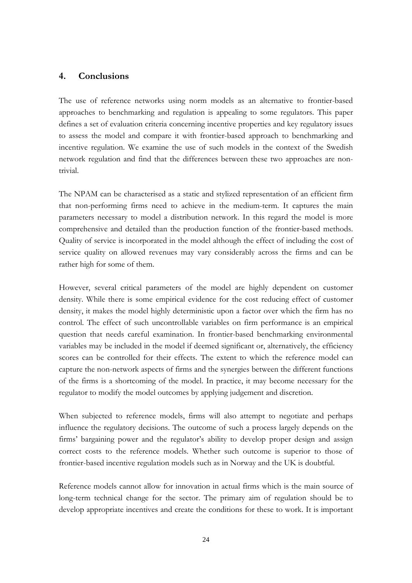# **4. Conclusions**

The use of reference networks using norm models as an alternative to frontier-based approaches to benchmarking and regulation is appealing to some regulators. This paper defines a set of evaluation criteria concerning incentive properties and key regulatory issues to assess the model and compare it with frontier-based approach to benchmarking and incentive regulation. We examine the use of such models in the context of the Swedish network regulation and find that the differences between these two approaches are nontrivial.

The NPAM can be characterised as a static and stylized representation of an efficient firm that non-performing firms need to achieve in the medium-term. It captures the main parameters necessary to model a distribution network. In this regard the model is more comprehensive and detailed than the production function of the frontier-based methods. Quality of service is incorporated in the model although the effect of including the cost of service quality on allowed revenues may vary considerably across the firms and can be rather high for some of them.

However, several critical parameters of the model are highly dependent on customer density. While there is some empirical evidence for the cost reducing effect of customer density, it makes the model highly deterministic upon a factor over which the firm has no control. The effect of such uncontrollable variables on firm performance is an empirical question that needs careful examination. In frontier-based benchmarking environmental variables may be included in the model if deemed significant or, alternatively, the efficiency scores can be controlled for their effects. The extent to which the reference model can capture the non-network aspects of firms and the synergies between the different functions of the firms is a shortcoming of the model. In practice, it may become necessary for the regulator to modify the model outcomes by applying judgement and discretion.

When subjected to reference models, firms will also attempt to negotiate and perhaps influence the regulatory decisions. The outcome of such a process largely depends on the firms' bargaining power and the regulator's ability to develop proper design and assign correct costs to the reference models. Whether such outcome is superior to those of frontier-based incentive regulation models such as in Norway and the UK is doubtful.

Reference models cannot allow for innovation in actual firms which is the main source of long-term technical change for the sector. The primary aim of regulation should be to develop appropriate incentives and create the conditions for these to work. It is important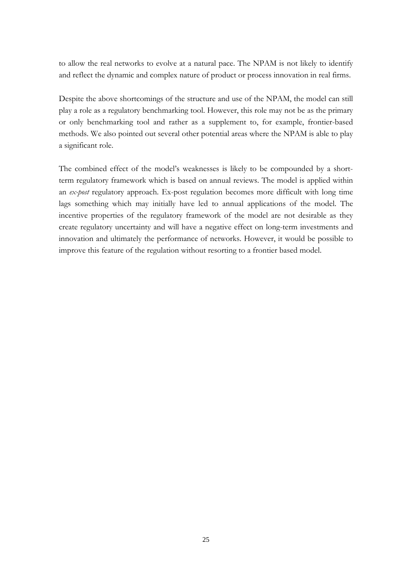to allow the real networks to evolve at a natural pace. The NPAM is not likely to identify and reflect the dynamic and complex nature of product or process innovation in real firms.

Despite the above shortcomings of the structure and use of the NPAM, the model can still play a role as a regulatory benchmarking tool. However, this role may not be as the primary or only benchmarking tool and rather as a supplement to, for example, frontier-based methods. We also pointed out several other potential areas where the NPAM is able to play a significant role.

The combined effect of the model's weaknesses is likely to be compounded by a shortterm regulatory framework which is based on annual reviews. The model is applied within an *ex-post* regulatory approach. Ex-post regulation becomes more difficult with long time lags something which may initially have led to annual applications of the model. The incentive properties of the regulatory framework of the model are not desirable as they create regulatory uncertainty and will have a negative effect on long-term investments and innovation and ultimately the performance of networks. However, it would be possible to improve this feature of the regulation without resorting to a frontier based model.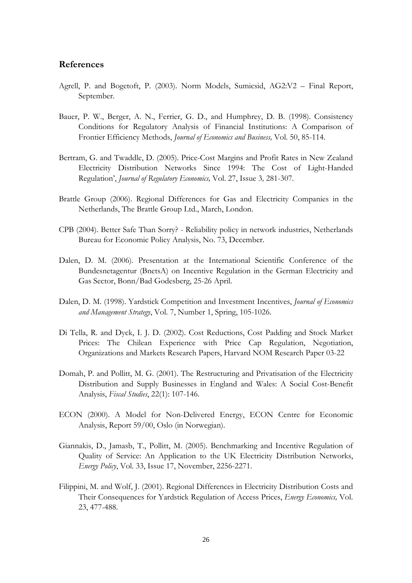### **References**

- Agrell, P. and Bogetoft, P. (2003). Norm Models, Sumicsid, AG2:V2 Final Report, September.
- Bauer, P. W., Berger, A. N., Ferrier, G. D., and Humphrey, D. B. (1998). Consistency Conditions for Regulatory Analysis of Financial Institutions: A Comparison of Frontier Efficiency Methods, *Journal of Economics and Business,* Vol. 50, 85-114.
- Bertram, G. and Twaddle, D. (2005). Price-Cost Margins and Profit Rates in New Zealand Electricity Distribution Networks Since 1994: The Cost of Light-Handed Regulation', *Journal of Regulatory Economics,* Vol. 27, Issue 3*,* 281-307.
- Brattle Group (2006). Regional Differences for Gas and Electricity Companies in the Netherlands, The Brattle Group Ltd., March, London.
- CPB (2004). Better Safe Than Sorry? Reliability policy in network industries, Netherlands Bureau for Economic Policy Analysis, No. 73, December.
- Dalen, D. M. (2006). Presentation at the International Scientific Conference of the Bundesnetagentur (BnetsA) on Incentive Regulation in the German Electricity and Gas Sector, Bonn/Bad Godesberg, 25-26 April.
- Dalen, D. M. (1998). Yardstick Competition and Investment Incentives, *Journal of Economics and Management Strategy*, Vol. 7, Number 1, Spring, 105-1026.
- Di Tella, R. and Dyck, I. J. D. (2002). Cost Reductions, Cost Padding and Stock Market Prices: The Chilean Experience with Price Cap Regulation, Negotiation, Organizations and Markets Research Papers, Harvard NOM Research Paper 03-22
- Domah, P. and Pollitt, M. G. (2001). The Restructuring and Privatisation of the Electricity Distribution and Supply Businesses in England and Wales: A Social Cost-Benefit Analysis, *Fiscal Studies*, 22(1): 107-146.
- ECON (2000). A Model for Non-Delivered Energy, ECON Centre for Economic Analysis, Report 59/00, Oslo (in Norwegian).
- Giannakis, D., Jamasb, T., Pollitt, M. (2005). Benchmarking and Incentive Regulation of Quality of Service: An Application to the UK Electricity Distribution Networks, *Energy Policy*, Vol. 33, Issue 17, November, 2256-2271.
- Filippini, M. and Wolf, J. (2001). Regional Differences in Electricity Distribution Costs and Their Consequences for Yardstick Regulation of Access Prices, *Energy Economics,* Vol. 23, 477-488.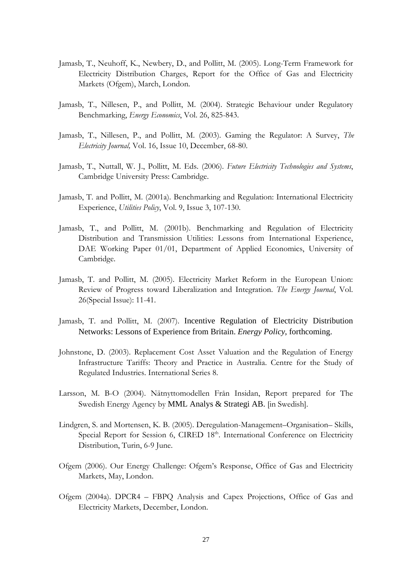- Jamasb, T., Neuhoff, K., Newbery, D., and Pollitt, M. (2005). Long-Term Framework for Electricity Distribution Charges, Report for the Office of Gas and Electricity Markets (Ofgem), March, London.
- Jamasb, T., Nillesen, P., and Pollitt, M. (2004). Strategic Behaviour under Regulatory Benchmarking, *Energy Economics*, Vol. 26, 825-843.
- Jamasb, T., Nillesen, P., and Pollitt, M. (2003). Gaming the Regulator: A Survey, *The Electricity Journal,* Vol. 16, Issue 10, December, 68-80.
- Jamasb, T., Nuttall, W. J., Pollitt, M. Eds. (2006). *Future Electricity Technologies and Systems*, Cambridge University Press: Cambridge.
- Jamasb, T. and Pollitt, M. (2001a). Benchmarking and Regulation: International Electricity Experience, *Utilities Policy*, Vol. 9, Issue 3, 107-130.
- Jamasb, T., and Pollitt, M. (2001b). Benchmarking and Regulation of Electricity Distribution and Transmission Utilities: Lessons from International Experience, DAE Working Paper 01/01, Department of Applied Economics, University of Cambridge.
- Jamasb, T. and Pollitt, M. (2005). Electricity Market Reform in the European Union: Review of Progress toward Liberalization and Integration. *The Energy Journal*, Vol. 26(Special Issue): 11-41.
- Jamasb, T. and Pollitt, M. (2007). Incentive Regulation of Electricity Distribution Networks: Lessons of Experience from Britain. *Energy Policy*, forthcoming.
- Johnstone, D. (2003). Replacement Cost Asset Valuation and the Regulation of Energy Infrastructure Tariffs: Theory and Practice in Australia. Centre for the Study of Regulated Industries. International Series 8.
- Larsson, M. B-O (2004). Nätnyttomodellen Från Insidan, Report prepared for The Swedish Energy Agency by MML Analys & Strategi AB. [in Swedish].
- Lindgren, S. and Mortensen, K. B. (2005). Deregulation-Management–Organisation– Skills, Special Report for Session 6, CIRED 18<sup>th</sup>. International Conference on Electricity Distribution, Turin, 6-9 June.
- Ofgem (2006). Our Energy Challenge: Ofgem's Response, Office of Gas and Electricity Markets, May, London.
- Ofgem (2004a). DPCR4 FBPQ Analysis and Capex Projections, Office of Gas and Electricity Markets, December, London.